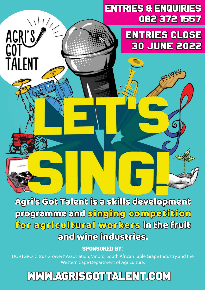## entries & enquiries 082 372 1557

# Entries close 30 june 2022

ග

Agri's Got Talent is a skills development programme and singing competition for agricultural workers in the fruit and wine industries.

AGRI'S

TAI FNT

## Sponsored by:

HORTGRO, Citrus Growers' Association, Vinpro, South African Table Grape Industry and the Western Cape Department of Agriculture.

## www.agrisgottalent.com